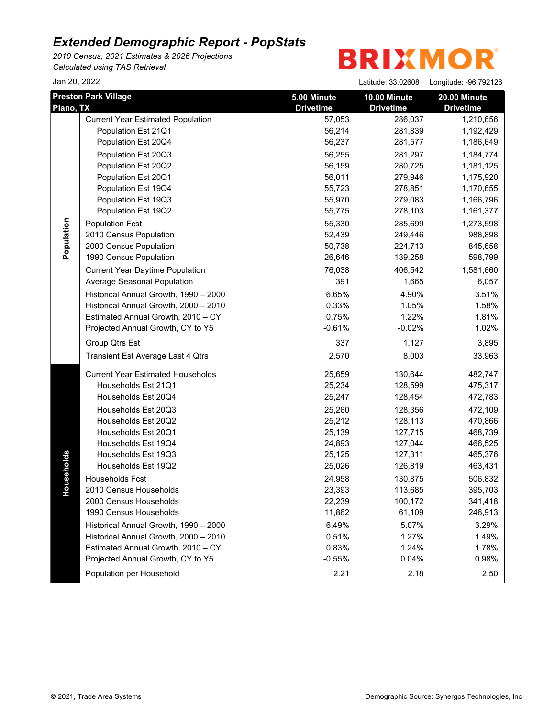*2010 Census, 2021 Estimates & 2026 Projections Calculated using TAS Retrieval*

# **BRIXMOR**

| Jan 20, 2022 |                                                                                                                                                                                                                                                                                                                                                                                                                                                                                                                                                                                |                                                                                                                                                                                        | Latitude: 33.02608                                                                                                                                                                                     | Longitude: -96.792126                                                                                                                                                                                                     |
|--------------|--------------------------------------------------------------------------------------------------------------------------------------------------------------------------------------------------------------------------------------------------------------------------------------------------------------------------------------------------------------------------------------------------------------------------------------------------------------------------------------------------------------------------------------------------------------------------------|----------------------------------------------------------------------------------------------------------------------------------------------------------------------------------------|--------------------------------------------------------------------------------------------------------------------------------------------------------------------------------------------------------|---------------------------------------------------------------------------------------------------------------------------------------------------------------------------------------------------------------------------|
| Plano, TX    | <b>Preston Park Village</b>                                                                                                                                                                                                                                                                                                                                                                                                                                                                                                                                                    | 5.00 Minute<br><b>Drivetime</b>                                                                                                                                                        | 10.00 Minute<br><b>Drivetime</b>                                                                                                                                                                       | 20.00 Minute<br><b>Drivetime</b>                                                                                                                                                                                          |
| Population   | <b>Current Year Estimated Population</b><br>Population Est 21Q1<br>Population Est 20Q4<br>Population Est 20Q3<br>Population Est 20Q2<br>Population Est 20Q1<br>Population Est 19Q4<br>Population Est 19Q3<br>Population Est 19Q2<br><b>Population Fcst</b><br>2010 Census Population<br>2000 Census Population<br>1990 Census Population<br><b>Current Year Daytime Population</b><br>Average Seasonal Population<br>Historical Annual Growth, 1990 - 2000<br>Historical Annual Growth, 2000 - 2010<br>Estimated Annual Growth, 2010 - CY<br>Projected Annual Growth, CY to Y5 | 57,053<br>56,214<br>56,237<br>56,255<br>56,159<br>56,011<br>55,723<br>55,970<br>55,775<br>55,330<br>52,439<br>50,738<br>26,646<br>76,038<br>391<br>6.65%<br>0.33%<br>0.75%<br>$-0.61%$ | 286,037<br>281,839<br>281,577<br>281,297<br>280,725<br>279,946<br>278,851<br>279,083<br>278,103<br>285,699<br>249,446<br>224,713<br>139,258<br>406,542<br>1,665<br>4.90%<br>1.05%<br>1.22%<br>$-0.02%$ | 1,210,656<br>1,192,429<br>1,186,649<br>1,184,774<br>1,181,125<br>1,175,920<br>1,170,655<br>1,166,796<br>1,161,377<br>1,273,598<br>988,898<br>845,658<br>598,799<br>1,581,660<br>6,057<br>3.51%<br>1.58%<br>1.81%<br>1.02% |
|              | Group Qtrs Est<br>Transient Est Average Last 4 Qtrs                                                                                                                                                                                                                                                                                                                                                                                                                                                                                                                            | 337<br>2,570                                                                                                                                                                           | 1,127<br>8,003                                                                                                                                                                                         | 3,895<br>33,963                                                                                                                                                                                                           |
| seholds<br>유 | <b>Current Year Estimated Households</b><br>Households Est 21Q1<br>Households Est 20Q4<br>Households Est 20Q3<br>Households Est 20Q2<br>Households Est 20Q1<br>Households Est 19Q4<br>Households Est 19Q3<br>Households Est 19Q2<br><b>Households Fcst</b><br>2010 Census Households<br>2000 Census Households<br>1990 Census Households<br>Historical Annual Growth, 1990 - 2000<br>Historical Annual Growth, 2000 - 2010<br>Estimated Annual Growth, 2010 - CY<br>Projected Annual Growth, CY to Y5<br>Population per Household                                              | 25,659<br>25,234<br>25,247<br>25,260<br>25,212<br>25,139<br>24,893<br>25,125<br>25,026<br>24,958<br>23,393<br>22,239<br>11,862<br>6.49%<br>0.51%<br>0.83%<br>$-0.55%$<br>2.21          | 130,644<br>128,599<br>128,454<br>128,356<br>128,113<br>127,715<br>127,044<br>127,311<br>126,819<br>130,875<br>113,685<br>100,172<br>61,109<br>5.07%<br>1.27%<br>1.24%<br>0.04%<br>2.18                 | 482,747<br>475,317<br>472,783<br>472,109<br>470,866<br>468,739<br>466,525<br>465,376<br>463,431<br>506,832<br>395,703<br>341,418<br>246,913<br>3.29%<br>1.49%<br>1.78%<br>0.98%<br>2.50                                   |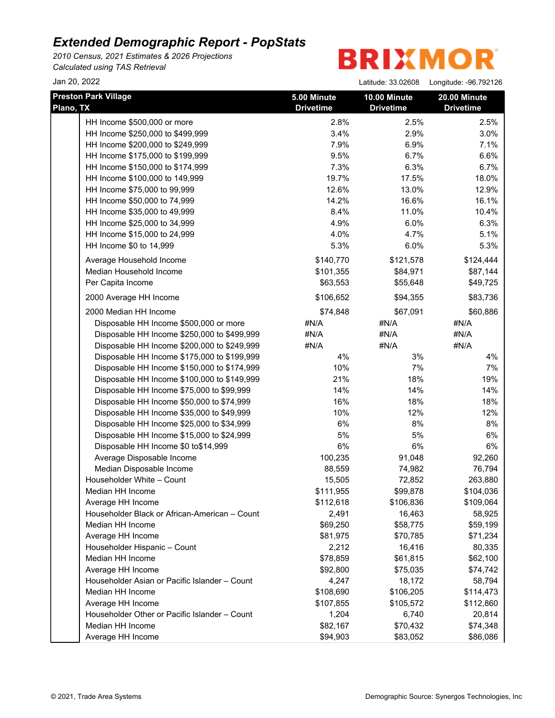*2010 Census, 2021 Estimates & 2026 Projections Calculated using TAS Retrieval*

**BRIXMOR** 

Jan 20, 2022 Latitude: 33.02608 Longitude: -96.792126

| <b>Preston Park Village</b><br>Plano, TX                           | 5.00 Minute<br><b>Drivetime</b> | 10.00 Minute<br><b>Drivetime</b> | 20.00 Minute<br><b>Drivetime</b> |
|--------------------------------------------------------------------|---------------------------------|----------------------------------|----------------------------------|
| HH Income \$500,000 or more                                        | 2.8%                            | 2.5%                             | 2.5%                             |
| HH Income \$250,000 to \$499,999                                   | 3.4%                            | 2.9%                             | 3.0%                             |
| HH Income \$200,000 to \$249,999                                   | 7.9%                            | 6.9%                             | 7.1%                             |
| HH Income \$175,000 to \$199,999                                   | 9.5%                            | 6.7%                             | 6.6%                             |
| HH Income \$150,000 to \$174,999                                   | 7.3%                            | 6.3%                             | 6.7%                             |
| HH Income \$100,000 to 149,999                                     | 19.7%                           | 17.5%                            | 18.0%                            |
| HH Income \$75,000 to 99,999                                       | 12.6%                           | 13.0%                            | 12.9%                            |
| HH Income \$50,000 to 74,999                                       | 14.2%                           | 16.6%                            | 16.1%                            |
| HH Income \$35,000 to 49,999                                       | 8.4%                            | 11.0%                            | 10.4%                            |
| HH Income \$25,000 to 34,999                                       | 4.9%                            | 6.0%                             | 6.3%                             |
| HH Income \$15,000 to 24,999                                       | 4.0%                            | 4.7%                             | 5.1%                             |
| HH Income \$0 to 14,999                                            | 5.3%                            | 6.0%                             | 5.3%                             |
| Average Household Income                                           | \$140,770                       | \$121,578                        | \$124,444                        |
| Median Household Income                                            | \$101,355                       | \$84,971                         | \$87,144                         |
| Per Capita Income                                                  | \$63,553                        | \$55,648                         | \$49,725                         |
| 2000 Average HH Income                                             | \$106,652                       | \$94,355                         | \$83,736                         |
| 2000 Median HH Income                                              | \$74,848                        | \$67,091                         | \$60,886                         |
| Disposable HH Income \$500,000 or more                             | #N/A                            | #N/A                             | #N/A                             |
| Disposable HH Income \$250,000 to \$499,999                        | #N/A                            | #N/A                             | #N/A                             |
| Disposable HH Income \$200,000 to \$249,999                        | #N/A                            | #N/A                             | #N/A                             |
| Disposable HH Income \$175,000 to \$199,999                        | 4%                              | 3%                               | 4%                               |
| Disposable HH Income \$150,000 to \$174,999                        | 10%                             | 7%                               | 7%                               |
| Disposable HH Income \$100,000 to \$149,999                        | 21%                             | 18%                              | 19%                              |
| Disposable HH Income \$75,000 to \$99,999                          | 14%                             | 14%                              | 14%                              |
| Disposable HH Income \$50,000 to \$74,999                          | 16%                             | 18%                              | 18%                              |
| Disposable HH Income \$35,000 to \$49,999                          | 10%                             | 12%                              | 12%                              |
| Disposable HH Income \$25,000 to \$34,999                          | 6%                              | 8%                               | 8%                               |
| Disposable HH Income \$15,000 to \$24,999                          | 5%                              | 5%                               | 6%                               |
| Disposable HH Income \$0 to\$14,999                                | 6%                              | 6%                               | 6%                               |
| Average Disposable Income                                          | 100,235                         | 91,048                           | 92,260                           |
| Median Disposable Income                                           | 88,559                          | 74,982                           | 76,794                           |
| Householder White - Count                                          | 15,505                          | 72,852                           | 263,880                          |
| Median HH Income                                                   | \$111,955                       | \$99,878                         | \$104,036                        |
| Average HH Income<br>Householder Black or African-American - Count | \$112,618                       | \$106,836<br>16,463              | \$109,064                        |
| Median HH Income                                                   | 2,491<br>\$69,250               |                                  | 58,925<br>\$59,199               |
|                                                                    | \$81,975                        | \$58,775                         |                                  |
| Average HH Income<br>Householder Hispanic - Count                  | 2,212                           | \$70,785<br>16,416               | \$71,234<br>80,335               |
| Median HH Income                                                   | \$78,859                        |                                  | \$62,100                         |
| Average HH Income                                                  | \$92,800                        | \$61,815<br>\$75,035             | \$74,742                         |
| Householder Asian or Pacific Islander - Count                      | 4,247                           | 18,172                           | 58,794                           |
| Median HH Income                                                   | \$108,690                       | \$106,205                        | \$114,473                        |
| Average HH Income                                                  | \$107,855                       | \$105,572                        | \$112,860                        |
| Householder Other or Pacific Islander - Count                      | 1,204                           | 6,740                            | 20,814                           |
| Median HH Income                                                   | \$82,167                        | \$70,432                         | \$74,348                         |
| Average HH Income                                                  | \$94,903                        | \$83,052                         | \$86,086                         |
|                                                                    |                                 |                                  |                                  |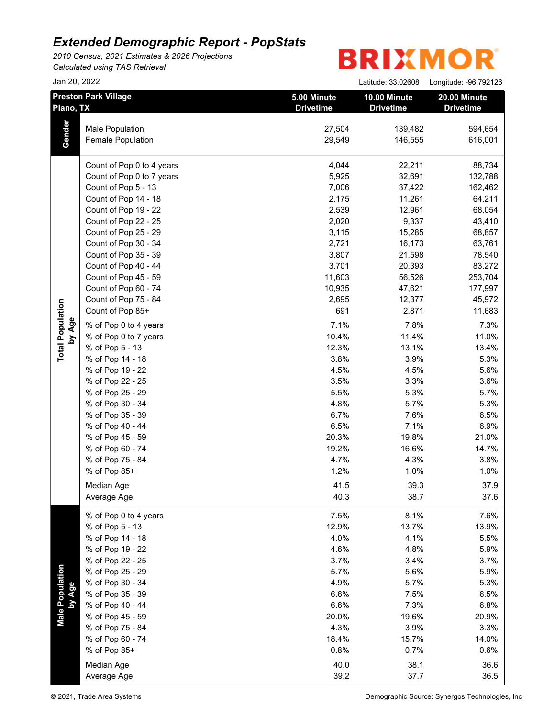*2010 Census, 2021 Estimates & 2026 Projections Calculated using TAS Retrieval*

## **BRIXMOR®**

|           | Jan 20, 2022                |                                 | Latitude: 33.02608               | Longitude: - 96.792126           |
|-----------|-----------------------------|---------------------------------|----------------------------------|----------------------------------|
| Plano, TX | <b>Preston Park Village</b> | 5.00 Minute<br><b>Drivetime</b> | 10.00 Minute<br><b>Drivetime</b> | 20.00 Minute<br><b>Drivetime</b> |
|           | Male Population             | 27,504                          | 139,482                          | 594,654                          |
| Gender    | Female Population           | 29,549                          | 146,555                          | 616,001                          |
|           | Count of Pop 0 to 4 years   | 4,044                           | 22,211                           | 88,734                           |
|           | Count of Pop 0 to 7 years   | 5,925                           | 32,691                           | 132,788                          |
|           | Count of Pop 5 - 13         | 7,006                           | 37,422                           | 162,462                          |
|           | Count of Pop 14 - 18        | 2,175                           | 11,261                           | 64,211                           |
|           | Count of Pop 19 - 22        | 2,539                           | 12,961                           | 68,054                           |
|           | Count of Pop 22 - 25        | 2,020                           | 9,337                            | 43,410                           |
|           | Count of Pop 25 - 29        | 3,115                           | 15,285                           | 68,857                           |
|           | Count of Pop 30 - 34        | 2,721                           | 16,173                           | 63,761                           |
|           | Count of Pop 35 - 39        | 3,807                           | 21,598                           | 78,540                           |
|           | Count of Pop 40 - 44        | 3,701                           | 20,393                           | 83,272                           |
|           | Count of Pop 45 - 59        | 11,603                          | 56,526                           | 253,704                          |
|           | Count of Pop 60 - 74        | 10,935                          | 47,621                           | 177,997                          |
|           | Count of Pop 75 - 84        | 2,695                           | 12,377                           | 45,972                           |
|           | Count of Pop 85+            | 691                             | 2,871                            | 11,683                           |
| by Age    | % of Pop 0 to 4 years       | 7.1%                            | 7.8%                             | 7.3%                             |
|           | % of Pop 0 to 7 years       | 10.4%                           | 11.4%                            | 11.0%                            |
|           | % of Pop 5 - 13             | 12.3%                           | 13.1%                            | 13.4%                            |
|           | % of Pop 14 - 18            | 3.8%                            | 3.9%                             | 5.3%                             |
|           | % of Pop 19 - 22            | 4.5%                            | 4.5%                             | 5.6%                             |
|           | % of Pop 22 - 25            | 3.5%                            | 3.3%                             | 3.6%                             |
|           | % of Pop 25 - 29            | 5.5%                            | 5.3%                             | 5.7%                             |
|           | % of Pop 30 - 34            | 4.8%                            | 5.7%                             | 5.3%                             |
|           | % of Pop 35 - 39            | 6.7%                            | 7.6%                             | 6.5%                             |
|           | % of Pop 40 - 44            | 6.5%                            | 7.1%                             | 6.9%                             |
|           | % of Pop 45 - 59            | 20.3%                           | 19.8%                            | 21.0%                            |
|           | % of Pop 60 - 74            | 19.2%                           | 16.6%                            | 14.7%                            |
|           | % of Pop 75 - 84            | 4.7%                            | 4.3%                             | 3.8%                             |
|           | % of Pop 85+                | 1.2%                            | 1.0%                             | 1.0%                             |
|           | Median Age                  | 41.5                            | 39.3                             | 37.9                             |
|           | Average Age                 | 40.3                            | 38.7                             | 37.6                             |
|           | % of Pop 0 to 4 years       | 7.5%                            | 8.1%                             | 7.6%                             |
|           | % of Pop 5 - 13             | 12.9%                           | 13.7%                            | 13.9%                            |
|           | % of Pop 14 - 18            | 4.0%                            | 4.1%                             | 5.5%                             |
|           | % of Pop 19 - 22            | 4.6%                            | 4.8%                             | 5.9%                             |
|           | % of Pop 22 - 25            | 3.7%                            | 3.4%                             | 3.7%                             |
|           | % of Pop 25 - 29            | 5.7%                            | 5.6%                             | 5.9%                             |
|           | % of Pop 30 - 34            | 4.9%                            | 5.7%                             | 5.3%                             |
| by Age    | % of Pop 35 - 39            | 6.6%                            | 7.5%                             | 6.5%                             |
|           | % of Pop 40 - 44            | 6.6%                            | 7.3%                             | 6.8%                             |
|           | % of Pop 45 - 59            | 20.0%                           | 19.6%                            | 20.9%                            |
|           | % of Pop 75 - 84            | 4.3%                            | 3.9%                             | 3.3%                             |
|           | % of Pop 60 - 74            | 18.4%                           | 15.7%                            | 14.0%                            |
|           | % of Pop 85+                | 0.8%                            | 0.7%                             | 0.6%                             |
|           | Median Age                  | 40.0                            | 38.1                             | 36.6                             |
|           | Average Age                 | 39.2                            | 37.7                             | 36.5                             |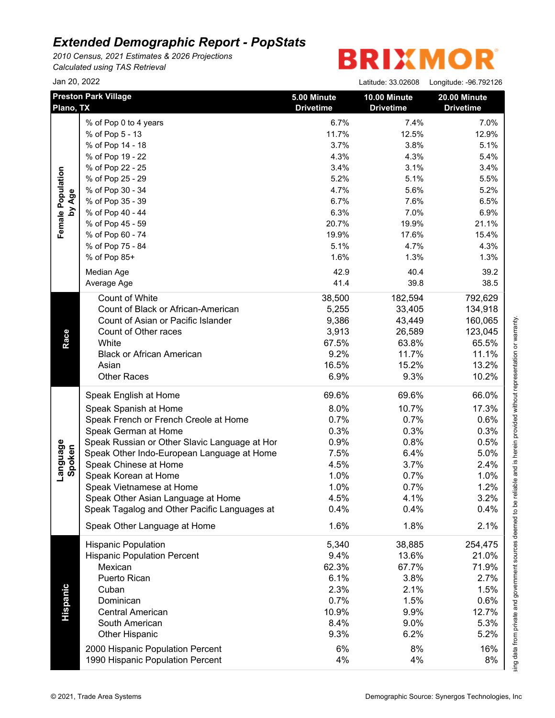*2010 Census, 2021 Estimates & 2026 Projections Calculated using TAS Retrieval*

# **BRIXMOR®**

|                    | Jan 20, 2022                                  |                                 | Latitude: 33.02608               | Longitude: -96.792126            |
|--------------------|-----------------------------------------------|---------------------------------|----------------------------------|----------------------------------|
|                    | <b>Preston Park Village</b><br>Plano, TX      | 5.00 Minute<br><b>Drivetime</b> | 10.00 Minute<br><b>Drivetime</b> | 20.00 Minute<br><b>Drivetime</b> |
|                    | % of Pop 0 to 4 years                         | 6.7%                            | 7.4%                             | 7.0%                             |
|                    | % of Pop 5 - 13                               | 11.7%                           | 12.5%                            | 12.9%                            |
|                    | % of Pop 14 - 18                              | 3.7%                            | 3.8%                             | 5.1%                             |
|                    | % of Pop 19 - 22                              | 4.3%                            | 4.3%                             | 5.4%                             |
|                    | % of Pop 22 - 25                              | 3.4%                            | 3.1%                             | 3.4%                             |
|                    | % of Pop 25 - 29                              | 5.2%                            | 5.1%                             | 5.5%                             |
|                    | % of Pop 30 - 34                              | 4.7%                            | 5.6%                             | 5.2%                             |
| by Age             | % of Pop 35 - 39                              | 6.7%                            | 7.6%                             | 6.5%                             |
|                    | % of Pop 40 - 44                              | 6.3%                            | 7.0%                             | 6.9%                             |
|                    | % of Pop 45 - 59                              | 20.7%                           | 19.9%                            | 21.1%                            |
|                    | % of Pop 60 - 74                              | 19.9%                           | 17.6%                            | 15.4%                            |
|                    | % of Pop 75 - 84                              | 5.1%                            | 4.7%                             | 4.3%                             |
|                    | % of Pop 85+                                  | 1.6%                            | 1.3%                             | 1.3%                             |
|                    |                                               |                                 |                                  |                                  |
|                    | Median Age                                    | 42.9                            | 40.4                             | 39.2                             |
|                    | Average Age                                   | 41.4                            | 39.8                             | 38.5                             |
|                    | Count of White                                | 38,500                          | 182,594                          | 792,629                          |
|                    | Count of Black or African-American            | 5,255                           | 33,405                           | 134,918                          |
|                    | Count of Asian or Pacific Islander            | 9,386                           | 43,449                           | 160,065                          |
| Race               | Count of Other races                          | 3,913                           | 26,589                           | 123,045                          |
|                    | White                                         | 67.5%                           | 63.8%                            | 65.5%                            |
|                    | <b>Black or African American</b>              | 9.2%                            | 11.7%                            | 11.1%                            |
|                    | Asian                                         | 16.5%                           | 15.2%                            | 13.2%                            |
|                    | <b>Other Races</b>                            | 6.9%                            | 9.3%                             | 10.2%                            |
|                    | Speak English at Home                         | 69.6%                           | 69.6%                            | 66.0%                            |
|                    | Speak Spanish at Home                         | 8.0%                            | 10.7%                            | 17.3%                            |
|                    | Speak French or French Creole at Home         | 0.7%                            | 0.7%                             | 0.6%                             |
|                    | Speak German at Home                          | 0.3%                            | 0.3%                             | 0.3%                             |
|                    | Speak Russian or Other Slavic Language at Hor | 0.9%                            | 0.8%                             | 0.5%                             |
|                    | Speak Other Indo-European Language at Home    | 7.5%                            | 6.4%                             | 5.0%                             |
| Language<br>Spoken | Speak Chinese at Home                         | 4.5%                            | 3.7%                             | 2.4%                             |
|                    | Speak Korean at Home                          | 1.0%                            | 0.7%                             | 1.0%                             |
|                    | Speak Vietnamese at Home                      | 1.0%                            | 0.7%                             | 1.2%                             |
|                    | Speak Other Asian Language at Home            | 4.5%                            | 4.1%                             | 3.2%                             |
|                    | Speak Tagalog and Other Pacific Languages at  | 0.4%                            | 0.4%                             | 0.4%                             |
|                    | Speak Other Language at Home                  | 1.6%                            | 1.8%                             | 2.1%                             |
|                    | <b>Hispanic Population</b>                    | 5,340                           | 38,885                           | 254,475                          |
|                    | <b>Hispanic Population Percent</b>            | 9.4%                            | 13.6%                            | 21.0%                            |
|                    | Mexican                                       | 62.3%                           | 67.7%                            | 71.9%                            |
|                    | Puerto Rican                                  | 6.1%                            | 3.8%                             | 2.7%                             |
|                    | Cuban                                         | 2.3%                            | 2.1%                             | 1.5%                             |
|                    | Dominican                                     | 0.7%                            | 1.5%                             | 0.6%                             |
|                    | <b>Central American</b>                       | 10.9%                           | 9.9%                             | 12.7%                            |
|                    | South American                                | 8.4%                            | 9.0%                             | 5.3%                             |
|                    | Other Hispanic                                | 9.3%                            | 6.2%                             | 5.2%                             |
|                    |                                               |                                 |                                  |                                  |
|                    | 2000 Hispanic Population Percent              | 6%                              | 8%                               | 16%<br>8%                        |
|                    | 1990 Hispanic Population Percent              | 4%                              | 4%                               |                                  |

This report was produced using data from private and government sources deemed to be reliable and is herein provided without representation or warranty.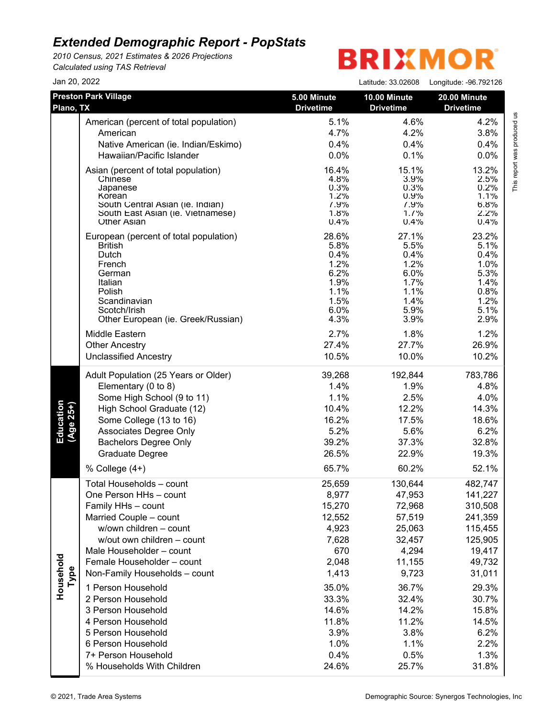*2010 Census, 2021 Estimates & 2026 Projections Calculated using TAS Retrieval*

# **BRIXMOR®**

| Jan 20, 2022           |                                                    |                                 | Latitude: 33.02608               | Longitude: -96.792126            |
|------------------------|----------------------------------------------------|---------------------------------|----------------------------------|----------------------------------|
| Plano, TX              | <b>Preston Park Village</b>                        | 5.00 Minute<br><b>Drivetime</b> | 10.00 Minute<br><b>Drivetime</b> | 20.00 Minute<br><b>Drivetime</b> |
|                        | American (percent of total population)             | 5.1%                            | 4.6%                             | 4.2%                             |
|                        | American                                           | 4.7%                            | 4.2%                             | 3.8%                             |
|                        | Native American (ie. Indian/Eskimo)                | 0.4%                            | 0.4%                             | 0.4%                             |
|                        | Hawaiian/Pacific Islander                          | 0.0%                            | 0.1%                             | 0.0%                             |
|                        | Asian (percent of total population)<br>Chinese     | 16.4%<br>4.8%                   | 15.1%<br>3.9%                    | 13.2%<br>2.5%                    |
|                        | Japanese<br>Korean                                 | 0.3%<br>1.2%                    | 0.3%<br>0.9%                     | 0.2%<br>1.1%                     |
|                        | South Central Asian (ie. Indian)                   | 7.9%                            | 7.9%                             | 6.8%                             |
|                        | South East Asian (ie. Vietnamese)                  | 1.8%                            | 1.7%                             | 2.2%                             |
|                        | <b>Other Asian</b>                                 | 0.4%                            | 0.4%                             | 0.4%                             |
|                        | European (percent of total population)             | 28.6%                           | 27.1%                            | 23.2%                            |
|                        | <b>British</b>                                     | 5.8%                            | 5.5%                             | 5.1%                             |
|                        | Dutch<br>French                                    | 0.4%<br>1.2%                    | 0.4%<br>1.2%                     | 0.4%<br>1.0%                     |
|                        | German                                             | 6.2%                            | 6.0%                             | 5.3%                             |
|                        | Italian                                            | 1.9%                            | 1.7%                             | 1.4%                             |
|                        | Polish                                             | 1.1%                            | 1.1%                             | 0.8%                             |
|                        | Scandinavian                                       | 1.5%<br>6.0%                    | 1.4%<br>5.9%                     | 1.2%<br>5.1%                     |
|                        | Scotch/Irish<br>Other European (ie. Greek/Russian) | 4.3%                            | 3.9%                             | 2.9%                             |
|                        |                                                    |                                 |                                  |                                  |
|                        | Middle Eastern                                     | 2.7%                            | 1.8%                             | 1.2%                             |
|                        | <b>Other Ancestry</b>                              | 27.4%                           | 27.7%                            | 26.9%                            |
|                        | <b>Unclassified Ancestry</b>                       | 10.5%                           | 10.0%                            | 10.2%                            |
|                        | Adult Population (25 Years or Older)               | 39,268                          | 192,844                          | 783,786                          |
|                        | Elementary (0 to 8)                                | 1.4%                            | 1.9%                             | 4.8%                             |
|                        | Some High School (9 to 11)                         | 1.1%                            | 2.5%                             | 4.0%                             |
|                        | High School Graduate (12)                          | 10.4%                           | 12.2%                            | 14.3%                            |
| Education<br>(Age 25+) | Some College (13 to 16)                            | 16.2%                           | 17.5%                            | 18.6%                            |
|                        | Associates Degree Only                             | 5.2%                            | 5.6%                             | 6.2%                             |
|                        | <b>Bachelors Degree Only</b>                       | 39.2%                           | 37.3%                            | 32.8%                            |
|                        | Graduate Degree                                    | 26.5%                           | 22.9%                            | 19.3%                            |
|                        | % College $(4+)$                                   | 65.7%                           | 60.2%                            | 52.1%                            |
|                        | Total Households - count                           | 25,659                          | 130,644                          | 482,747                          |
|                        | One Person HHs - count                             | 8,977                           | 47,953                           | 141,227                          |
|                        | Family HHs - count                                 | 15,270                          | 72,968                           | 310,508                          |
|                        | Married Couple - count                             | 12,552                          | 57,519                           | 241,359                          |
|                        | w/own children - count                             | 4,923                           | 25,063                           | 115,455                          |
|                        | w/out own children - count                         | 7,628                           | 32,457                           | 125,905                          |
|                        | Male Householder - count                           | 670                             | 4,294                            | 19,417                           |
|                        | Female Householder - count                         | 2,048                           | 11,155                           | 49,732                           |
| Household<br>Type      | Non-Family Households - count                      | 1,413                           | 9,723                            | 31,011                           |
|                        | 1 Person Household                                 | 35.0%                           | 36.7%                            | 29.3%                            |
|                        | 2 Person Household                                 | 33.3%                           | 32.4%                            | 30.7%                            |
|                        | 3 Person Household                                 | 14.6%                           | 14.2%                            | 15.8%                            |
|                        | 4 Person Household                                 | 11.8%                           | 11.2%                            | 14.5%                            |
|                        | 5 Person Household                                 | 3.9%                            | 3.8%                             | 6.2%                             |
|                        | 6 Person Household                                 | 1.0%                            | 1.1%                             | 2.2%                             |
|                        | 7+ Person Household                                | 0.4%                            | 0.5%                             | 1.3%                             |
|                        | % Households With Children                         | 24.6%                           | 25.7%                            | 31.8%                            |

This report was produced us<br>T This report was produced us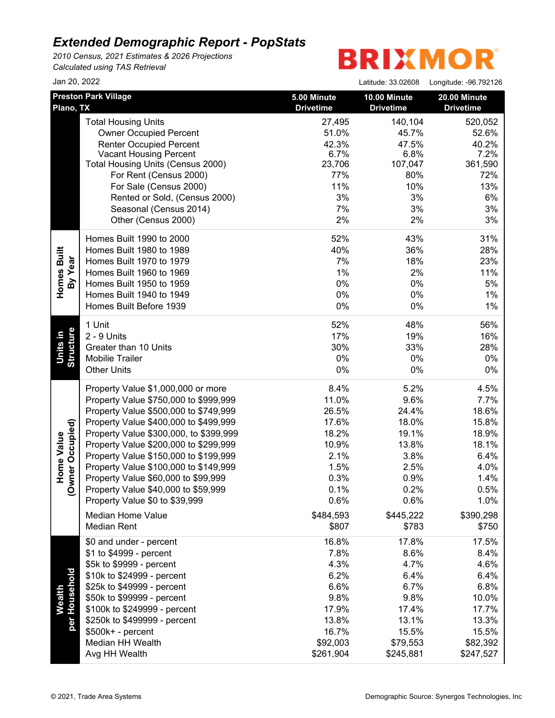*2010 Census, 2021 Estimates & 2026 Projections Calculated using TAS Retrieval*

## **BRIXMOR**

Latitude: 33.02608 Longitude: -96.792126

| Jan 20, 2022 |  |
|--------------|--|
|--------------|--|

| Plano, TX                            | <b>Preston Park Village</b>                                                                                                                                                                                                                                                                                                                                                                                                                                             | 5.00 Minute<br><b>Drivetime</b>                                                                            | 10.00 Minute<br><b>Drivetime</b>                                                                           | 20.00 Minute<br><b>Drivetime</b>                                                                            |
|--------------------------------------|-------------------------------------------------------------------------------------------------------------------------------------------------------------------------------------------------------------------------------------------------------------------------------------------------------------------------------------------------------------------------------------------------------------------------------------------------------------------------|------------------------------------------------------------------------------------------------------------|------------------------------------------------------------------------------------------------------------|-------------------------------------------------------------------------------------------------------------|
|                                      | <b>Total Housing Units</b><br><b>Owner Occupied Percent</b><br><b>Renter Occupied Percent</b><br><b>Vacant Housing Percent</b><br>Total Housing Units (Census 2000)<br>For Rent (Census 2000)<br>For Sale (Census 2000)<br>Rented or Sold, (Census 2000)<br>Seasonal (Census 2014)<br>Other (Census 2000)                                                                                                                                                               | 27,495<br>51.0%<br>42.3%<br>6.7%<br>23,706<br>77%<br>11%<br>3%<br>7%<br>2%                                 | 140,104<br>45.7%<br>47.5%<br>6.8%<br>107,047<br>80%<br>10%<br>3%<br>3%<br>2%                               | 520,052<br>52.6%<br>40.2%<br>7.2%<br>361,590<br>72%<br>13%<br>6%<br>3%<br>3%                                |
| Built<br>By Year<br>Homes            | Homes Built 1990 to 2000<br>Homes Built 1980 to 1989<br>Homes Built 1970 to 1979<br>Homes Built 1960 to 1969<br>Homes Built 1950 to 1959<br>Homes Built 1940 to 1949<br>Homes Built Before 1939                                                                                                                                                                                                                                                                         | 52%<br>40%<br>7%<br>1%<br>0%<br>0%<br>0%                                                                   | 43%<br>36%<br>18%<br>2%<br>0%<br>0%<br>0%                                                                  | 31%<br>28%<br>23%<br>11%<br>5%<br>$1\%$<br>1%                                                               |
| <b>Units in</b><br>Structure         | 1 Unit<br>2 - 9 Units<br>Greater than 10 Units<br>Mobilie Trailer<br><b>Other Units</b>                                                                                                                                                                                                                                                                                                                                                                                 | 52%<br>17%<br>30%<br>0%<br>0%                                                                              | 48%<br>19%<br>33%<br>0%<br>0%                                                                              | 56%<br>16%<br>28%<br>$0\%$<br>0%                                                                            |
| Owner Occupied)<br><b>Home Value</b> | Property Value \$1,000,000 or more<br>Property Value \$750,000 to \$999,999<br>Property Value \$500,000 to \$749,999<br>Property Value \$400,000 to \$499,999<br>Property Value \$300,000, to \$399,999<br>Property Value \$200,000 to \$299,999<br>Property Value \$150,000 to \$199,999<br>Property Value \$100,000 to \$149,999<br>Property Value \$60,000 to \$99,999<br>Property Value \$40,000 to \$59,999<br>Property Value \$0 to \$39,999<br>Median Home Value | 8.4%<br>11.0%<br>26.5%<br>17.6%<br>18.2%<br>10.9%<br>2.1%<br>1.5%<br>0.3%<br>0.1%<br>0.6%<br>\$484,593     | 5.2%<br>9.6%<br>24.4%<br>18.0%<br>19.1%<br>13.8%<br>3.8%<br>2.5%<br>0.9%<br>0.2%<br>0.6%<br>\$445,222      | 4.5%<br>7.7%<br>18.6%<br>15.8%<br>18.9%<br>18.1%<br>6.4%<br>4.0%<br>1.4%<br>0.5%<br>1.0%<br>\$390,298       |
| Wealth<br>'Household<br>per          | <b>Median Rent</b><br>\$0 and under - percent<br>\$1 to \$4999 - percent<br>\$5k to \$9999 - percent<br>\$10k to \$24999 - percent<br>\$25k to \$49999 - percent<br>\$50k to \$99999 - percent<br>\$100k to \$249999 - percent<br>\$250k to \$499999 - percent<br>\$500k+ - percent<br>Median HH Wealth<br>Avg HH Wealth                                                                                                                                                | \$807<br>16.8%<br>7.8%<br>4.3%<br>6.2%<br>6.6%<br>9.8%<br>17.9%<br>13.8%<br>16.7%<br>\$92,003<br>\$261,904 | \$783<br>17.8%<br>8.6%<br>4.7%<br>6.4%<br>6.7%<br>9.8%<br>17.4%<br>13.1%<br>15.5%<br>\$79,553<br>\$245,881 | \$750<br>17.5%<br>8.4%<br>4.6%<br>6.4%<br>6.8%<br>10.0%<br>17.7%<br>13.3%<br>15.5%<br>\$82,392<br>\$247,527 |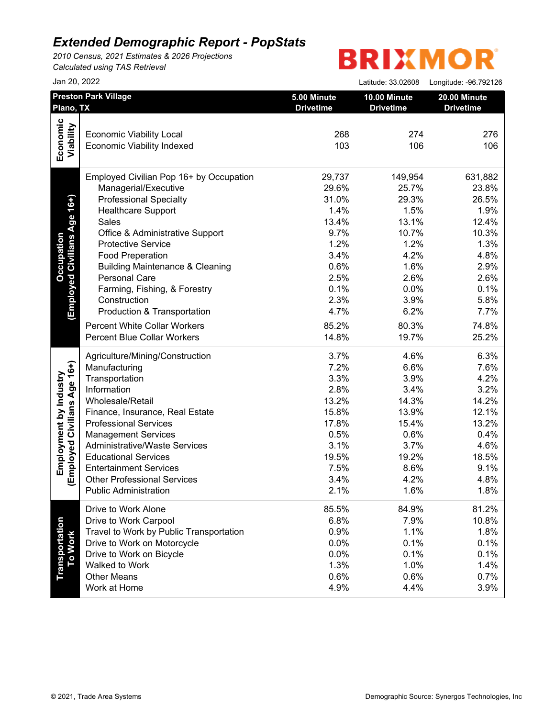*2010 Census, 2021 Estimates & 2026 Projections Calculated using TAS Retrieval*

## **BRIXMOR®**

|                              | Jan 20, 2022                               |                                 | Latitude: 33.02608               | Longitude: - 96.792126           |
|------------------------------|--------------------------------------------|---------------------------------|----------------------------------|----------------------------------|
| Plano, TX                    | <b>Preston Park Village</b>                | 5.00 Minute<br><b>Drivetime</b> | 10.00 Minute<br><b>Drivetime</b> | 20.00 Minute<br><b>Drivetime</b> |
|                              |                                            |                                 |                                  |                                  |
|                              | <b>Economic Viability Local</b>            | 268                             | 274                              | 276                              |
| Economic<br>Viability        | <b>Economic Viability Indexed</b>          | 103                             | 106                              | 106                              |
|                              | Employed Civilian Pop 16+ by Occupation    | 29,737                          | 149,954                          | 631,882                          |
|                              | Managerial/Executive                       | 29.6%                           | 25.7%                            | 23.8%                            |
| (Employed Civilians Age 16+) | <b>Professional Specialty</b>              | 31.0%                           | 29.3%                            | 26.5%                            |
|                              | <b>Healthcare Support</b>                  | 1.4%                            | 1.5%                             | 1.9%                             |
|                              | <b>Sales</b>                               | 13.4%                           | 13.1%                            | 12.4%                            |
|                              | Office & Administrative Support            | 9.7%                            | 10.7%                            | 10.3%                            |
|                              | <b>Protective Service</b>                  | 1.2%                            | 1.2%                             | 1.3%                             |
|                              | <b>Food Preperation</b>                    | 3.4%                            | 4.2%                             | 4.8%                             |
|                              | <b>Building Maintenance &amp; Cleaning</b> | 0.6%                            | 1.6%                             | 2.9%                             |
|                              | Personal Care                              | 2.5%                            | 2.6%                             | 2.6%                             |
|                              | Farming, Fishing, & Forestry               | 0.1%                            | 0.0%                             | 0.1%                             |
|                              | Construction                               | 2.3%                            | 3.9%                             | 5.8%                             |
|                              | Production & Transportation                | 4.7%                            | 6.2%                             | 7.7%                             |
|                              | <b>Percent White Collar Workers</b>        | 85.2%                           | 80.3%                            | 74.8%                            |
|                              | <b>Percent Blue Collar Workers</b>         | 14.8%                           | 19.7%                            | 25.2%                            |
|                              | Agriculture/Mining/Construction            | 3.7%                            | 4.6%                             | 6.3%                             |
|                              | Manufacturing                              | 7.2%                            | 6.6%                             | 7.6%                             |
|                              | Transportation                             | 3.3%                            | 3.9%                             | 4.2%                             |
|                              | Information                                | 2.8%                            | 3.4%                             | 3.2%                             |
|                              | Wholesale/Retail                           | 13.2%                           | 14.3%                            | 14.2%                            |
|                              | Finance, Insurance, Real Estate            | 15.8%                           | 13.9%                            | 12.1%                            |
|                              | <b>Professional Services</b>               | 17.8%                           | 15.4%                            | 13.2%                            |
|                              | <b>Management Services</b>                 | 0.5%                            | 0.6%                             | 0.4%                             |
|                              | <b>Administrative/Waste Services</b>       | 3.1%                            | 3.7%                             | 4.6%                             |
|                              | <b>Educational Services</b>                | 19.5%                           | 19.2%                            | 18.5%                            |
|                              | <b>Entertainment Services</b>              | 7.5%                            | 8.6%                             | 9.1%                             |
| Employed Civilians Age 16+)  | <b>Other Professional Services</b>         | 3.4%                            | 4.2%                             | 4.8%                             |
|                              | <b>Public Administration</b>               | 2.1%                            | 1.6%                             | 1.8%                             |
|                              | Drive to Work Alone                        | 85.5%                           | 84.9%                            | 81.2%                            |
|                              | Drive to Work Carpool                      | 6.8%                            | 7.9%                             | 10.8%                            |
| To Work                      | Travel to Work by Public Transportation    | 0.9%                            | 1.1%                             | 1.8%                             |
|                              | Drive to Work on Motorcycle                | 0.0%                            | 0.1%                             | 0.1%                             |
|                              | Drive to Work on Bicycle                   | 0.0%                            | 0.1%                             | 0.1%                             |
|                              | Walked to Work                             | 1.3%                            | 1.0%                             | 1.4%                             |
|                              | <b>Other Means</b>                         | 0.6%                            | 0.6%                             | 0.7%                             |
|                              | Work at Home                               | 4.9%                            | 4.4%                             | 3.9%                             |